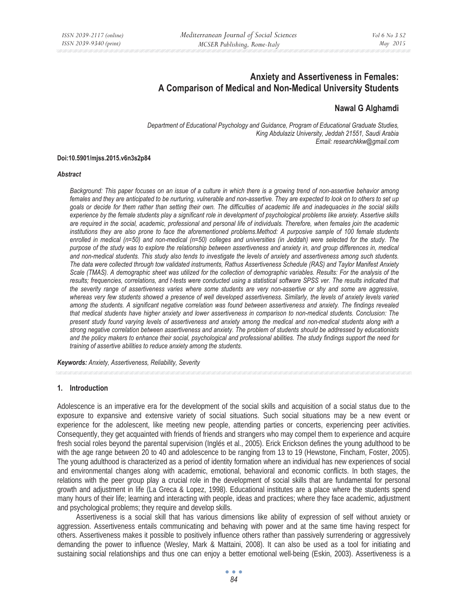# **Anxiety and Assertiveness in Females: A Comparison of Medical and Non-Medical University Students**

## **Nawal G Alghamdi**

*Department of Educational Psychology and Guidance, Program of Educational Graduate Studies, King Abdulaziz University, Jeddah 21551, Saudi Arabia Email: researchkkw@gmail.com* 

#### **Doi:10.5901/mjss.2015.v6n3s2p84**

#### *Abstract*

*Background: This paper focuses on an issue of a culture in which there is a growing trend of non-assertive behavior among females and they are anticipated to be nurturing, vulnerable and non-assertive. They are expected to look on to others to set up goals or decide for them rather than setting their own. The difficulties of academic life and inadequacies in the social skills experience by the female students play a significant role in development of psychological problems like anxiety. Assertive skills are required in the social, academic, professional and personal life of individuals. Therefore, when females join the academic*  institutions they are also prone to face the aforementioned problems.Method: A purposive sample of 100 female students *enrolled in medical (n=50) and non-medical (n=50) colleges and universities (in Jeddah) were selected for the study. The purpose of the study was to explore the relationship between assertiveness and anxiety in, and group differences in, medical and non-medical students. This study also tends to investigate the levels of anxiety and assertiveness among such students. The data were collected through tow validated instruments, Rathus Assertiveness Schedule (RAS) and Taylor Manifest Anxiety Scale (TMAS). A demographic sheet was utilized for the collection of demographic variables. Results: For the analysis of the*  results; frequencies, correlations, and t-tests were conducted using a statistical software SPSS ver. The results indicated that *the severity range of assertiveness varies where some students are very non-assertive or shy and some are aggressive, whereas very few students showed a presence of well developed assertiveness. Similarly, the levels of anxiety levels varied among the students. A significant negative correlation was found between assertiveness and anxiety. The findings revealed that medical students have higher anxiety and lower assertiveness in comparison to non-medical students. Conclusion: The present study found varying levels of assertiveness and anxiety among the medical and non-medical students along with a strong negative correlation between assertiveness and anxiety. The problem of students should be addressed by educationists and the policy makers to enhance their social, psychological and professional abilities. The study findings support the need for training of assertive abilities to reduce anxiety among the students.* 

*Keywords: Anxiety, Assertiveness, Reliability, Severity*

#### **1. Introduction**

Adolescence is an imperative era for the development of the social skills and acquisition of a social status due to the exposure to expansive and extensive variety of social situations. Such social situations may be a new event or experience for the adolescent, like meeting new people, attending parties or concerts, experiencing peer activities. Consequently, they get acquainted with friends of friends and strangers who may compel them to experience and acquire fresh social roles beyond the parental supervision (Inglés et al., 2005). Erick Erickson defines the young adulthood to be with the age range between 20 to 40 and adolescence to be ranging from 13 to 19 (Hewstone, Fincham, Foster, 2005). The young adulthood is characterized as a period of identity formation where an individual has new experiences of social and environmental changes along with academic, emotional, behavioral and economic conflicts. In both stages, the relations with the peer group play a crucial role in the development of social skills that are fundamental for personal growth and adjustment in life (La Greca & Lopez, 1998). Educational institutes are a place where the students spend many hours of their life; learning and interacting with people, ideas and practices; where they face academic, adjustment and psychological problems; they require and develop skills.

Assertiveness is a social skill that has various dimensions like ability of expression of self without anxiety or aggression. Assertiveness entails communicating and behaving with power and at the same time having respect for others. Assertiveness makes it possible to positively influence others rather than passively surrendering or aggressively demanding the power to influence (Wesley, Mark & Mattaini, 2008). It can also be used as a tool for initiating and sustaining social relationships and thus one can enjoy a better emotional well-being (Eskin, 2003). Assertiveness is a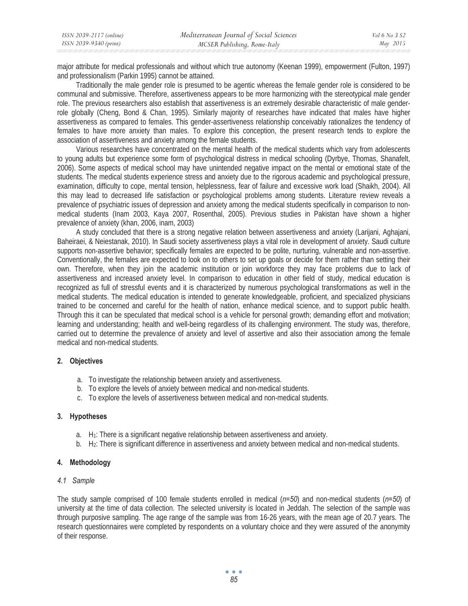| ISSN 2039-2117 (online) | Mediterranean Journal of Social Sciences | Vol 6 No 3 S2 |
|-------------------------|------------------------------------------|---------------|
| ISSN 2039-9340 (print)  | MCSER Publishing, Rome-Italy             | May 2015      |

major attribute for medical professionals and without which true autonomy (Keenan 1999), empowerment (Fulton, 1997) and professionalism (Parkin 1995) cannot be attained.

Traditionally the male gender role is presumed to be agentic whereas the female gender role is considered to be communal and submissive. Therefore, assertiveness appears to be more harmonizing with the stereotypical male gender role. The previous researchers also establish that assertiveness is an extremely desirable characteristic of male genderrole globally (Cheng, Bond & Chan, 1995). Similarly majority of researches have indicated that males have higher assertiveness as compared to females. This gender-assertiveness relationship conceivably rationalizes the tendency of females to have more anxiety than males. To explore this conception, the present research tends to explore the association of assertiveness and anxiety among the female students.

Various researches have concentrated on the mental health of the medical students which vary from adolescents to young adults but experience some form of psychological distress in medical schooling (Dyrbye, Thomas, Shanafelt, 2006). Some aspects of medical school may have unintended negative impact on the mental or emotional state of the students. The medical students experience stress and anxiety due to the rigorous academic and psychological pressure, examination, difficulty to cope, mental tension, helplessness, fear of failure and excessive work load (Shaikh, 2004). All this may lead to decreased life satisfaction or psychological problems among students. Literature review reveals a prevalence of psychiatric issues of depression and anxiety among the medical students specifically in comparison to nonmedical students (Inam 2003, Kaya 2007, Rosenthal, 2005). Previous studies in Pakistan have shown a higher prevalence of anxiety (khan, 2006, inam, 2003)

A study concluded that there is a strong negative relation between assertiveness and anxiety (Larijani, Aghajani, Baheiraei, & Neiestanak, 2010). In Saudi society assertiveness plays a vital role in development of anxiety. Saudi culture supports non-assertive behavior; specifically females are expected to be polite, nurturing, vulnerable and non-assertive. Conventionally, the females are expected to look on to others to set up goals or decide for them rather than setting their own. Therefore, when they join the academic institution or join workforce they may face problems due to lack of assertiveness and increased anxiety level. In comparison to education in other field of study, medical education is recognized as full of stressful events and it is characterized by numerous psychological transformations as well in the medical students. The medical education is intended to generate knowledgeable, proficient, and specialized physicians trained to be concerned and careful for the health of nation, enhance medical science, and to support public health. Through this it can be speculated that medical school is a vehicle for personal growth; demanding effort and motivation; learning and understanding; health and well-being regardless of its challenging environment. The study was, therefore, carried out to determine the prevalence of anxiety and level of assertive and also their association among the female medical and non-medical students.

### **2. Objectives**

- a. To investigate the relationship between anxiety and assertiveness.
- b. To explore the levels of anxiety between medical and non-medical students.
- c. To explore the levels of assertiveness between medical and non-medical students.

#### **3. Hypotheses**

- a.  $H_1$ : There is a significant negative relationship between assertiveness and anxiety.
- b. H2: There is significant difference in assertiveness and anxiety between medical and non-medical students.

#### **4. Methodology**

#### *4.1 Sample*

The study sample comprised of 100 female students enrolled in medical (*n=50*) and non-medical students (*n=50*) of university at the time of data collection. The selected university is located in Jeddah. The selection of the sample was through purposive sampling. The age range of the sample was from 16-26 years, with the mean age of 20.7 years. The research questionnaires were completed by respondents on a voluntary choice and they were assured of the anonymity of their response.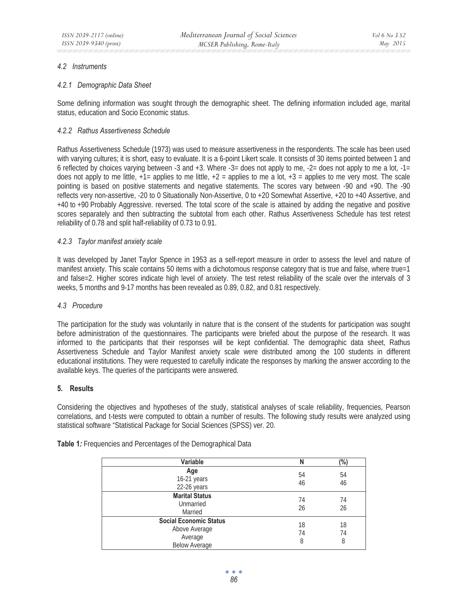### *4.2 Instruments*

### *4.2.1 Demographic Data Sheet*

Some defining information was sought through the demographic sheet. The defining information included age, marital status, education and Socio Economic status.

## *4.2.2 Rathus Assertiveness Schedule*

Rathus Assertiveness Schedule (1973) was used to measure assertiveness in the respondents. The scale has been used with varying cultures; it is short, easy to evaluate. It is a 6-point Likert scale. It consists of 30 items pointed between 1 and 6 reflected by choices varying between -3 and +3. Where  $-3$ = does not apply to me,  $-2$ = does not apply to me a lot,  $-1$ = does not apply to me little,  $+1=$  applies to me little,  $+2=$  applies to me a lot,  $+3=$  applies to me very most. The scale pointing is based on positive statements and negative statements. The scores vary between -90 and +90. The -90 reflects very non-assertive, -20 to 0 Situationally Non-Assertive, 0 to +20 Somewhat Assertive, +20 to +40 Assertive, and +40 to +90 Probably Aggressive. reversed. The total score of the scale is attained by adding the negative and positive scores separately and then subtracting the subtotal from each other. Rathus Assertiveness Schedule has test retest reliability of 0.78 and split half-reliability of 0.73 to 0.91.

### *4.2.3 Taylor manifest anxiety scale*

It was developed by Janet Taylor Spence in 1953 as a self-report measure in order to assess the level and nature of manifest anxiety. This scale contains 50 items with a dichotomous response category that is true and false, where true=1 and false=2. Higher scores indicate high level of anxiety. The test retest reliability of the scale over the intervals of 3 weeks, 5 months and 9-17 months has been revealed as 0.89, 0.82, and 0.81 respectively.

### *4.3 Procedure*

The participation for the study was voluntarily in nature that is the consent of the students for participation was sought before administration of the questionnaires. The participants were briefed about the purpose of the research. It was informed to the participants that their responses will be kept confidential. The demographic data sheet, Rathus Assertiveness Schedule and Taylor Manifest anxiety scale were distributed among the 100 students in different educational institutions. They were requested to carefully indicate the responses by marking the answer according to the available keys. The queries of the participants were answered.

### **5. Results**

Considering the objectives and hypotheses of the study, statistical analyses of scale reliability, frequencies, Pearson correlations, and t-tests were computed to obtain a number of results. The following study results were analyzed using statistical software "Statistical Package for Social Sciences (SPSS) ver. 20.

| Variable                                                                          | N             | $(\%)$        |
|-----------------------------------------------------------------------------------|---------------|---------------|
| Age<br>16-21 years<br>22-26 years                                                 | 54<br>46      | 54<br>46      |
| <b>Marital Status</b><br>Unmarried<br>Married                                     | 74<br>26      | 74<br>26      |
| <b>Social Economic Status</b><br>Above Average<br>Average<br><b>Below Average</b> | 18<br>74<br>8 | 18<br>74<br>8 |

**Table 1***:* Frequencies and Percentages of the Demographical Data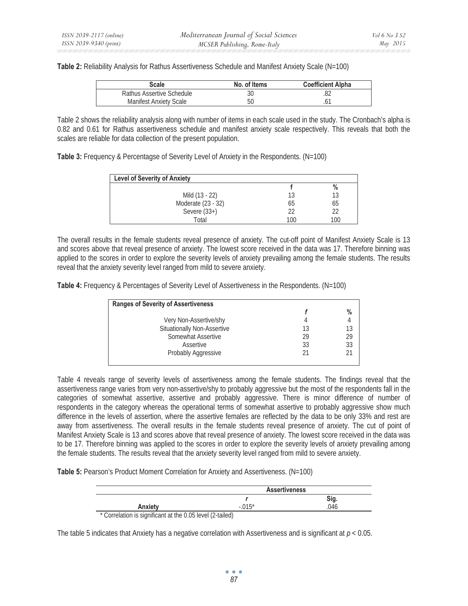**Table 2:** Reliability Analysis for Rathus Assertiveness Schedule and Manifest Anxiety Scale (N=100)

| Scale                         | No. of Items | <b>Coefficient Alpha</b> |
|-------------------------------|--------------|--------------------------|
| Rathus Assertive Schedule     |              |                          |
| <b>Manifest Anxiety Scale</b> | 50           |                          |

Table 2 shows the reliability analysis along with number of items in each scale used in the study. The Cronbach's alpha is 0.82 and 0.61 for Rathus assertiveness schedule and manifest anxiety scale respectively. This reveals that both the scales are reliable for data collection of the present population.

**Table 3:** Frequency & Percentagse of Severity Level of Anxiety in the Respondents. (N=100)

| <b>Level of Severity of Anxiety</b> |     |      |
|-------------------------------------|-----|------|
|                                     |     | $\%$ |
| Mild (13 - 22)                      | 13  | 13   |
| Moderate (23 - 32)                  | 65  | 65   |
| Severe $(33+)$                      | 22  | 22   |
| Total                               | 100 | 100  |

The overall results in the female students reveal presence of anxiety. The cut-off point of Manifest Anxiety Scale is 13 and scores above that reveal presence of anxiety. The lowest score received in the data was 17. Therefore binning was applied to the scores in order to explore the severity levels of anxiety prevailing among the female students. The results reveal that the anxiety severity level ranged from mild to severe anxiety.

**Table 4:** Frequency & Percentages of Severity Level of Assertiveness in the Respondents. (N=100)

| <b>Ranges of Severity of Assertiveness</b> |    |               |
|--------------------------------------------|----|---------------|
|                                            |    | $\frac{0}{0}$ |
| Very Non-Assertive/shy                     |    |               |
| <b>Situationally Non-Assertive</b>         | 13 | 13            |
| Somewhat Assertive                         | 29 | 29            |
| Assertive                                  | 33 | 33            |
| Probably Aggressive                        |    |               |

Table 4 reveals range of severity levels of assertiveness among the female students. The findings reveal that the assertiveness range varies from very non-assertive/shy to probably aggressive but the most of the respondents fall in the categories of somewhat assertive, assertive and probably aggressive. There is minor difference of number of respondents in the category whereas the operational terms of somewhat assertive to probably aggressive show much difference in the levels of assertion, where the assertive females are reflected by the data to be only 33% and rest are away from assertiveness. The overall results in the female students reveal presence of anxiety. The cut of point of Manifest Anxiety Scale is 13 and scores above that reveal presence of anxiety. The lowest score received in the data was to be 17. Therefore binning was applied to the scores in order to explore the severity levels of anxiety prevailing among the female students. The results reveal that the anxiety severity level ranged from mild to severe anxiety.

**Table 5:** Pearson's Product Moment Correlation for Anxiety and Assertiveness. (N=100)

|         | <b>Assertiveness</b> |  |
|---------|----------------------|--|
|         |                      |  |
| Anxiety | . .                  |  |

Correlation is significant at the 0.05 level (2-tailed)

The table 5 indicates that Anxiety has a negative correlation with Assertiveness and is significant at *p* < 0.05.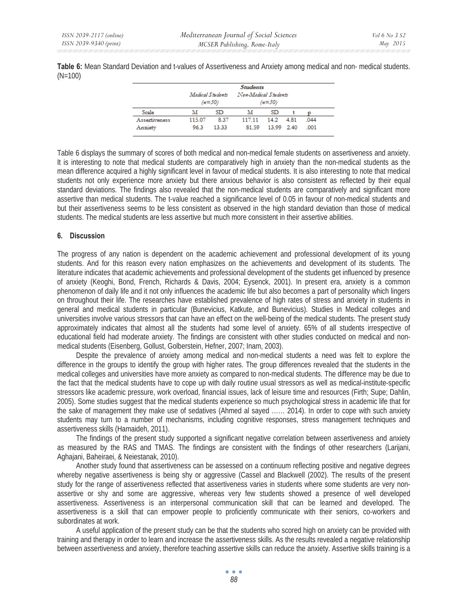**Table 6:** Mean Standard Deviation and t-values of Assertiveness and Anxiety among medical and non- medical students. (N=100)

|               |                  |          | <b>Students</b>      |            |      |      |  |
|---------------|------------------|----------|----------------------|------------|------|------|--|
|               | Medical Students | $(n=50)$ | Non-Medical Students | $(n=50)$   |      |      |  |
| Scale         | м                | SD       | м                    | SD.        |      |      |  |
| Assertiveness | 115.07           | 8.37     | 117.11               | 14.2       | 4.81 | .044 |  |
| Anxiety       | 96.3             | 13.33    | 81.59                | 13.99 2.40 |      | .001 |  |

Table 6 displays the summary of scores of both medical and non-medical female students on assertiveness and anxiety. It is interesting to note that medical students are comparatively high in anxiety than the non-medical students as the mean difference acquired a highly significant level in favour of medical students. It is also interesting to note that medical students not only experience more anxiety but there anxious behavior is also consistent as reflected by their equal standard deviations. The findings also revealed that the non-medical students are comparatively and significant more assertive than medical students. The t-value reached a significance level of 0.05 in favour of non-medical students and but their assertiveness seems to be less consistent as observed in the high standard deviation than those of medical students. The medical students are less assertive but much more consistent in their assertive abilities.

### **6. Discussion**

The progress of any nation is dependent on the academic achievement and professional development of its young students. And for this reason every nation emphasizes on the achievements and development of its students. The literature indicates that academic achievements and professional development of the students get influenced by presence of anxiety (Keoghi, Bond, French, Richards & Davis, 2004; Eysenck, 2001). In present era, anxiety is a common phenomenon of daily life and it not only influences the academic life but also becomes a part of personality which lingers on throughout their life. The researches have established prevalence of high rates of stress and anxiety in students in general and medical students in particular (Bunevicius, Katkute, and Bunevicius). Studies in Medical colleges and universities involve various stressors that can have an effect on the well-being of the medical students. The present study approximately indicates that almost all the students had some level of anxiety. 65% of all students irrespective of educational field had moderate anxiety. The findings are consistent with other studies conducted on medical and nonmedical students (Eisenberg, Gollust, Golberstein, Hefner, 2007; Inam, 2003).

Despite the prevalence of anxiety among medical and non-medical students a need was felt to explore the difference in the groups to identify the group with higher rates. The group differences revealed that the students in the medical colleges and universities have more anxiety as compared to non-medical students. The difference may be due to the fact that the medical students have to cope up with daily routine usual stressors as well as medical-institute-specific stressors like academic pressure, work overload, financial issues, lack of leisure time and resources (Firth; Supe; Dahlin, 2005). Some studies suggest that the medical students experience so much psychological stress in academic life that for the sake of management they make use of sedatives (Ahmed al sayed …… 2014). In order to cope with such anxiety students may turn to a number of mechanisms, including cognitive responses, stress management techniques and assertiveness skills (Hamaideh, 2011).

The findings of the present study supported a significant negative correlation between assertiveness and anxiety as measured by the RAS and TMAS. The findings are consistent with the findings of other researchers (Larijani, Aghajani, Baheiraei, & Neiestanak, 2010).

Another study found that assertiveness can be assessed on a continuum reflecting positive and negative degrees whereby negative assertiveness is being shy or aggressive (Cassel and Blackwell (2002). The results of the present study for the range of assertiveness reflected that assertiveness varies in students where some students are very nonassertive or shy and some are aggressive, whereas very few students showed a presence of well developed assertiveness. Assertiveness is an interpersonal communication skill that can be learned and developed. The assertiveness is a skill that can empower people to proficiently communicate with their seniors, co-workers and subordinates at work.

A useful application of the present study can be that the students who scored high on anxiety can be provided with training and therapy in order to learn and increase the assertiveness skills. As the results revealed a negative relationship between assertiveness and anxiety, therefore teaching assertive skills can reduce the anxiety. Assertive skills training is a